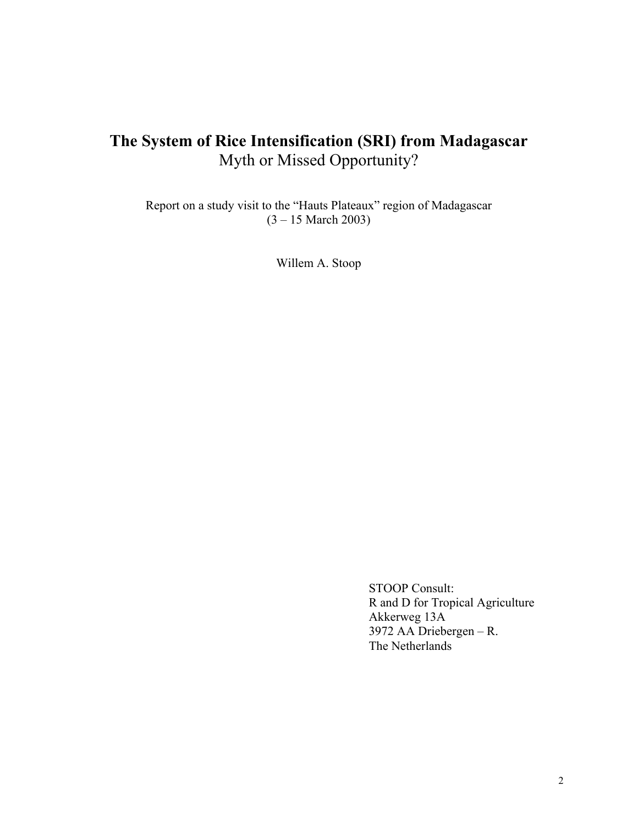# **The System of Rice Intensification (SRI) from Madagascar**  Myth or Missed Opportunity?

Report on a study visit to the "Hauts Plateaux" region of Madagascar (3 – 15 March 2003)

Willem A. Stoop

 STOOP Consult: R and D for Tropical Agriculture Akkerweg 13A 3972 AA Driebergen – R. The Netherlands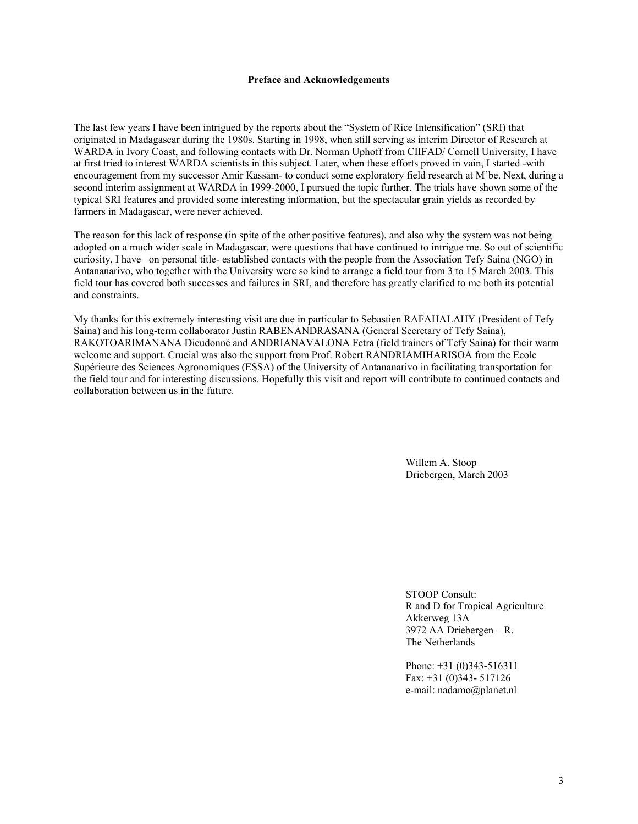#### **Preface and Acknowledgements**

The last few years I have been intrigued by the reports about the "System of Rice Intensification" (SRI) that originated in Madagascar during the 1980s. Starting in 1998, when still serving as interim Director of Research at WARDA in Ivory Coast, and following contacts with Dr. Norman Uphoff from CIIFAD/ Cornell University, I have at first tried to interest WARDA scientists in this subject. Later, when these efforts proved in vain, I started -with encouragement from my successor Amir Kassam- to conduct some exploratory field research at M'be. Next, during a second interim assignment at WARDA in 1999-2000, I pursued the topic further. The trials have shown some of the typical SRI features and provided some interesting information, but the spectacular grain yields as recorded by farmers in Madagascar, were never achieved.

The reason for this lack of response (in spite of the other positive features), and also why the system was not being adopted on a much wider scale in Madagascar, were questions that have continued to intrigue me. So out of scientific curiosity, I have –on personal title- established contacts with the people from the Association Tefy Saina (NGO) in Antananarivo, who together with the University were so kind to arrange a field tour from 3 to 15 March 2003. This field tour has covered both successes and failures in SRI, and therefore has greatly clarified to me both its potential and constraints.

My thanks for this extremely interesting visit are due in particular to Sebastien RAFAHALAHY (President of Tefy Saina) and his long-term collaborator Justin RABENANDRASANA (General Secretary of Tefy Saina), RAKOTOARIMANANA Dieudonné and ANDRIANAVALONA Fetra (field trainers of Tefy Saina) for their warm welcome and support. Crucial was also the support from Prof. Robert RANDRIAMIHARISOA from the Ecole Supérieure des Sciences Agronomiques (ESSA) of the University of Antananarivo in facilitating transportation for the field tour and for interesting discussions. Hopefully this visit and report will contribute to continued contacts and collaboration between us in the future.

> Willem A. Stoop Driebergen, March 2003

 STOOP Consult: R and D for Tropical Agriculture Akkerweg 13A 3972 AA Driebergen – R. The Netherlands

 Phone: +31 (0)343-516311 Fax: +31 (0)343- 517126 e-mail: nadamo@planet.nl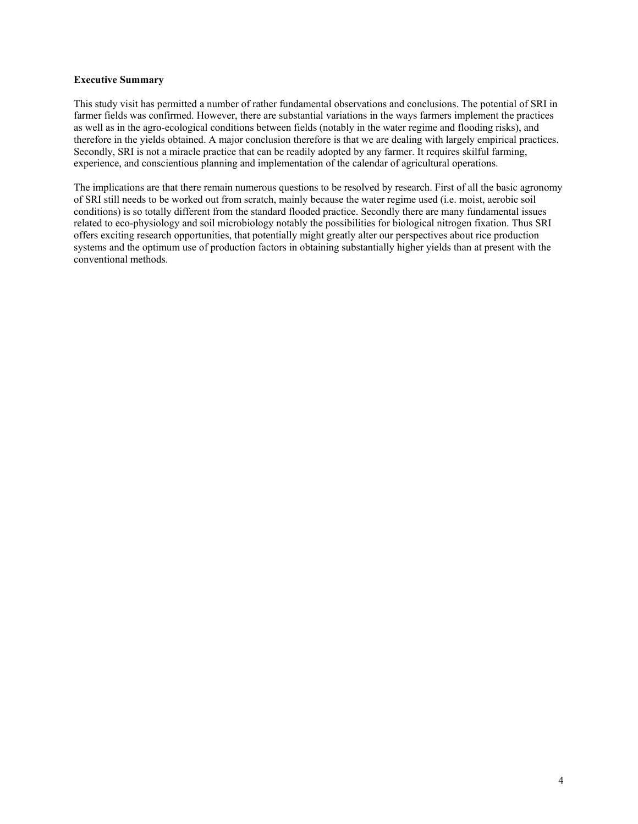#### **Executive Summary**

This study visit has permitted a number of rather fundamental observations and conclusions. The potential of SRI in farmer fields was confirmed. However, there are substantial variations in the ways farmers implement the practices as well as in the agro-ecological conditions between fields (notably in the water regime and flooding risks), and therefore in the yields obtained. A major conclusion therefore is that we are dealing with largely empirical practices. Secondly, SRI is not a miracle practice that can be readily adopted by any farmer. It requires skilful farming, experience, and conscientious planning and implementation of the calendar of agricultural operations.

The implications are that there remain numerous questions to be resolved by research. First of all the basic agronomy of SRI still needs to be worked out from scratch, mainly because the water regime used (i.e. moist, aerobic soil conditions) is so totally different from the standard flooded practice. Secondly there are many fundamental issues related to eco-physiology and soil microbiology notably the possibilities for biological nitrogen fixation. Thus SRI offers exciting research opportunities, that potentially might greatly alter our perspectives about rice production systems and the optimum use of production factors in obtaining substantially higher yields than at present with the conventional methods.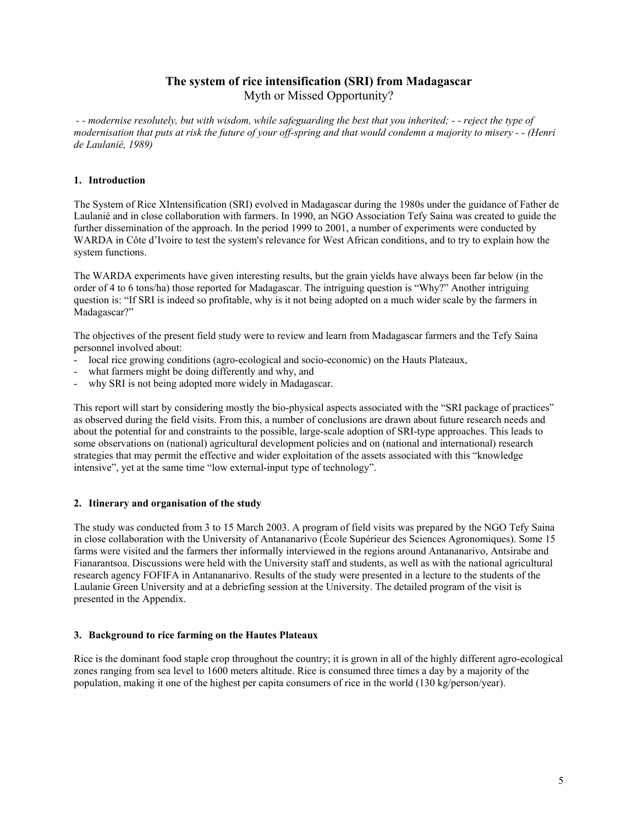## **The system of rice intensification (SRI) from Madagascar**  Myth or Missed Opportunity?

*- - modernise resolutely, but with wisdom, while safeguarding the best that you inherited; - - reject the type of modernisation that puts at risk the future of your off-spring and that would condemn a majority to misery - - (Henri de Laulanié, 1989)* 

## **1. Introduction**

The System of Rice XIntensification (SRI) evolved in Madagascar during the 1980s under the guidance of Father de Laulanié and in close collaboration with farmers. In 1990, an NGO Association Tefy Saina was created to guide the further dissemination of the approach. In the period 1999 to 2001, a number of experiments were conducted by WARDA in Côte d'Ivoire to test the system's relevance for West African conditions, and to try to explain how the system functions.

The WARDA experiments have given interesting results, but the grain yields have always been far below (in the order of 4 to 6 tons/ha) those reported for Madagascar. The intriguing question is "Why?" Another intriguing question is: "If SRI is indeed so profitable, why is it not being adopted on a much wider scale by the farmers in Madagascar?"

The objectives of the present field study were to review and learn from Madagascar farmers and the Tefy Saina personnel involved about:

- local rice growing conditions (agro-ecological and socio-economic) on the Hauts Plateaux,
- what farmers might be doing differently and why, and
- why SRI is not being adopted more widely in Madagascar.

This report will start by considering mostly the bio-physical aspects associated with the "SRI package of practices" as observed during the field visits. From this, a number of conclusions are drawn about future research needs and about the potential for and constraints to the possible, large-scale adoption of SRI-type approaches. This leads to some observations on (national) agricultural development policies and on (national and international) research strategies that may permit the effective and wider exploitation of the assets associated with this "knowledge intensive", yet at the same time "low external-input type of technology".

## **2. Itinerary and organisation of the study**

The study was conducted from 3 to 15 March 2003. A program of field visits was prepared by the NGO Tefy Saina in close collaboration with the University of Antananarivo (École Supérieur des Sciences Agronomiques). Some 15 farms were visited and the farmers ther informally interviewed in the regions around Antananarivo, Antsirabe and Fianarantsoa. Discussions were held with the University staff and students, as well as with the national agricultural research agency FOFIFA in Antananarivo. Results of the study were presented in a lecture to the students of the Laulanie Green University and at a debriefing session at the University. The detailed program of the visit is presented in the Appendix.

## **3. Background to rice farming on the Hautes Plateaux**

Rice is the dominant food staple crop throughout the country; it is grown in all of the highly different agro-ecological zones ranging from sea level to 1600 meters altitude. Rice is consumed three times a day by a majority of the population, making it one of the highest per capita consumers of rice in the world (130 kg/person/year).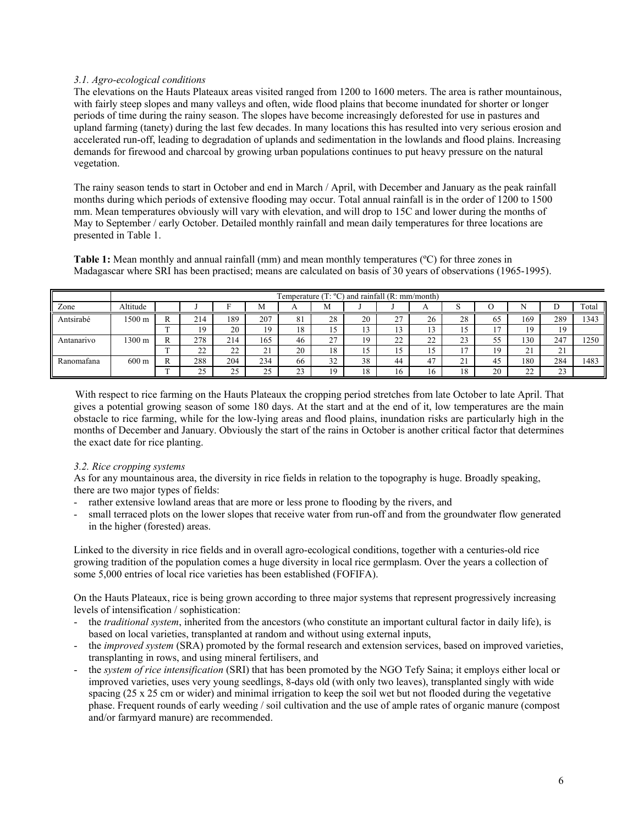## *3.1. Agro-ecological conditions*

The elevations on the Hauts Plateaux areas visited ranged from 1200 to 1600 meters. The area is rather mountainous, with fairly steep slopes and many valleys and often, wide flood plains that become inundated for shorter or longer periods of time during the rainy season. The slopes have become increasingly deforested for use in pastures and upland farming (tanety) during the last few decades. In many locations this has resulted into very serious erosion and accelerated run-off, leading to degradation of uplands and sedimentation in the lowlands and flood plains. Increasing demands for firewood and charcoal by growing urban populations continues to put heavy pressure on the natural vegetation.

The rainy season tends to start in October and end in March / April, with December and January as the peak rainfall months during which periods of extensive flooding may occur. Total annual rainfall is in the order of 1200 to 1500 mm. Mean temperatures obviously will vary with elevation, and will drop to 15C and lower during the months of May to September / early October. Detailed monthly rainfall and mean daily temperatures for three locations are presented in Table 1.

**Table 1:** Mean monthly and annual rainfall (mm) and mean monthly temperatures (ºC) for three zones in Madagascar where SRI has been practised; means are calculated on basis of 30 years of observations (1965-1995).

|            | Temperature $(T: {}^{\circ}C)$ and rainfall $(R: mm/month)$ |        |              |             |                    |                     |                |    |             |          |                         |                       |                        |                    |       |
|------------|-------------------------------------------------------------|--------|--------------|-------------|--------------------|---------------------|----------------|----|-------------|----------|-------------------------|-----------------------|------------------------|--------------------|-------|
| Zone       | Altitude                                                    |        |              |             | M                  |                     | М              |    |             | $\Gamma$ |                         |                       |                        |                    | Total |
| Antsirabé  | 1500 m                                                      | 17.    | 214          | 189         | 207                | 81                  | 28             | 20 | $\sim$<br>∼ | 26       | 28                      | 65                    | 169                    | 289                | 1343  |
|            |                                                             |        | ١g           | 20          |                    | 18                  | 12             | IJ |             |          | ر 1                     | $\overline{ }$<br>. . | ١q                     |                    |       |
| Antanarivo | 1300 m                                                      |        | 278          | 214         | 165                | 46                  | $\sim$<br>ر کے | 19 | $\sim$<br>∸ | ົ<br>∸   | $\mathcal{L}$<br>د،     | 55                    | 130                    | 247                | 1250  |
|            |                                                             | $\sim$ | $\sim$<br>∠∠ | $\sim$<br>∸ | $\sim$<br><u>.</u> | 20                  | 18             |    |             |          |                         | 19                    | $\sim$ 1<br><u>، ب</u> | <u>.</u>           |       |
| Ranomafana | $600 \text{ m}$                                             |        | 288          | 204         | 234                | 66                  | 32             | 38 | 44          | 4.       | $\mathbf{\Omega}$<br>∠⊥ | 45                    | 180                    | 284                | 1483  |
|            |                                                             |        | 25           | $\sim$<br>~ | $\sim$             | $\mathcal{L}$<br>د، | 19             | 18 |             | 16       | 18                      | 20                    | $\mathcal{L}$<br>∠∠    | $\mathbf{a}$<br>رے |       |

With respect to rice farming on the Hauts Plateaux the cropping period stretches from late October to late April. That gives a potential growing season of some 180 days. At the start and at the end of it, low temperatures are the main obstacle to rice farming, while for the low-lying areas and flood plains, inundation risks are particularly high in the months of December and January. Obviously the start of the rains in October is another critical factor that determines the exact date for rice planting.

## *3.2. Rice cropping systems*

As for any mountainous area, the diversity in rice fields in relation to the topography is huge. Broadly speaking, there are two major types of fields:

- rather extensive lowland areas that are more or less prone to flooding by the rivers, and
- small terraced plots on the lower slopes that receive water from run-off and from the groundwater flow generated in the higher (forested) areas.

Linked to the diversity in rice fields and in overall agro-ecological conditions, together with a centuries-old rice growing tradition of the population comes a huge diversity in local rice germplasm. Over the years a collection of some 5,000 entries of local rice varieties has been established (FOFIFA).

On the Hauts Plateaux, rice is being grown according to three major systems that represent progressively increasing levels of intensification / sophistication:

- the *traditional system*, inherited from the ancestors (who constitute an important cultural factor in daily life), is based on local varieties, transplanted at random and without using external inputs,
- the *improved system* (SRA) promoted by the formal research and extension services, based on improved varieties, transplanting in rows, and using mineral fertilisers, and
- the *system of rice intensification* (SRI) that has been promoted by the NGO Tefy Saina; it employs either local or improved varieties, uses very young seedlings, 8-days old (with only two leaves), transplanted singly with wide spacing (25 x 25 cm or wider) and minimal irrigation to keep the soil wet but not flooded during the vegetative phase. Frequent rounds of early weeding / soil cultivation and the use of ample rates of organic manure (compost and/or farmyard manure) are recommended.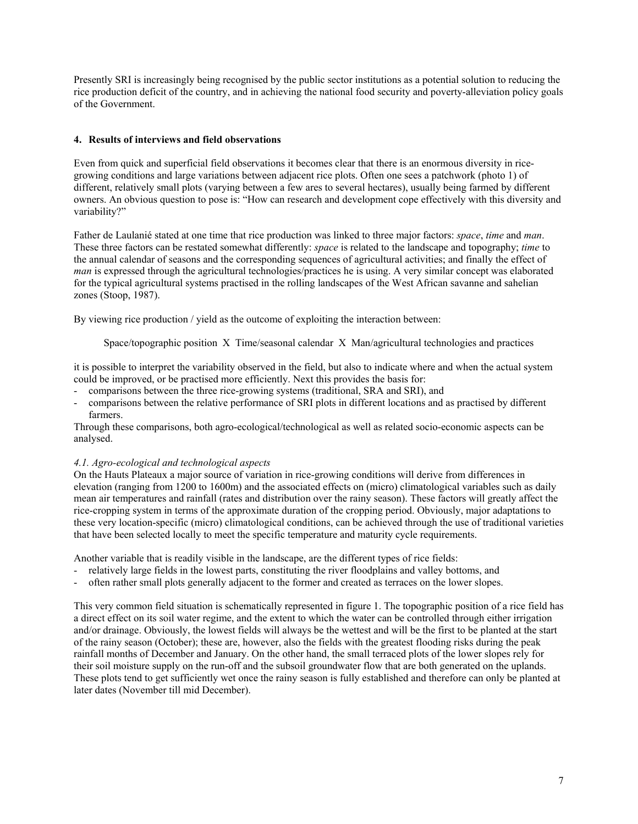Presently SRI is increasingly being recognised by the public sector institutions as a potential solution to reducing the rice production deficit of the country, and in achieving the national food security and poverty-alleviation policy goals of the Government.

## **4. Results of interviews and field observations**

Even from quick and superficial field observations it becomes clear that there is an enormous diversity in ricegrowing conditions and large variations between adjacent rice plots. Often one sees a patchwork (photo 1) of different, relatively small plots (varying between a few ares to several hectares), usually being farmed by different owners. An obvious question to pose is: "How can research and development cope effectively with this diversity and variability?"

Father de Laulanié stated at one time that rice production was linked to three major factors: *space*, *time* and *man*. These three factors can be restated somewhat differently: *space* is related to the landscape and topography; *time* to the annual calendar of seasons and the corresponding sequences of agricultural activities; and finally the effect of *man* is expressed through the agricultural technologies/practices he is using. A very similar concept was elaborated for the typical agricultural systems practised in the rolling landscapes of the West African savanne and sahelian zones (Stoop, 1987).

By viewing rice production / yield as the outcome of exploiting the interaction between:

Space/topographic position X Time/seasonal calendar X Man/agricultural technologies and practices

it is possible to interpret the variability observed in the field, but also to indicate where and when the actual system could be improved, or be practised more efficiently. Next this provides the basis for:

- comparisons between the three rice-growing systems (traditional, SRA and SRI), and
- comparisons between the relative performance of SRI plots in different locations and as practised by different farmers.

Through these comparisons, both agro-ecological/technological as well as related socio-economic aspects can be analysed.

## *4.1. Agro-ecological and technological aspects*

On the Hauts Plateaux a major source of variation in rice-growing conditions will derive from differences in elevation (ranging from 1200 to 1600m) and the associated effects on (micro) climatological variables such as daily mean air temperatures and rainfall (rates and distribution over the rainy season). These factors will greatly affect the rice-cropping system in terms of the approximate duration of the cropping period. Obviously, major adaptations to these very location-specific (micro) climatological conditions, can be achieved through the use of traditional varieties that have been selected locally to meet the specific temperature and maturity cycle requirements.

Another variable that is readily visible in the landscape, are the different types of rice fields:

- relatively large fields in the lowest parts, constituting the river floodplains and valley bottoms, and
- often rather small plots generally adjacent to the former and created as terraces on the lower slopes.

This very common field situation is schematically represented in figure 1. The topographic position of a rice field has a direct effect on its soil water regime, and the extent to which the water can be controlled through either irrigation and/or drainage. Obviously, the lowest fields will always be the wettest and will be the first to be planted at the start of the rainy season (October); these are, however, also the fields with the greatest flooding risks during the peak rainfall months of December and January. On the other hand, the small terraced plots of the lower slopes rely for their soil moisture supply on the run-off and the subsoil groundwater flow that are both generated on the uplands. These plots tend to get sufficiently wet once the rainy season is fully established and therefore can only be planted at later dates (November till mid December).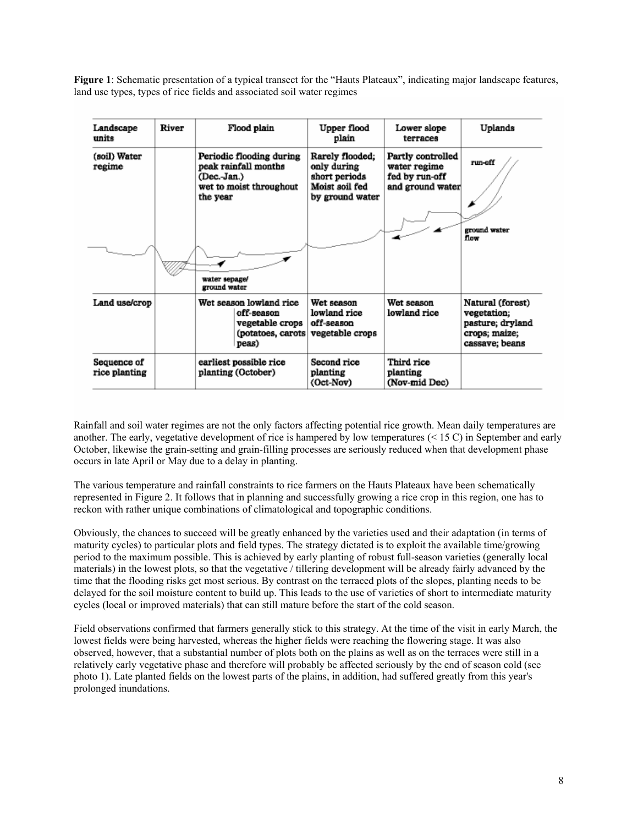**Figure 1**: Schematic presentation of a typical transect for the "Hauts Plateaux", indicating major landscape features, land use types, types of rice fields and associated soil water regimes

| Landscape<br>units           | River | Flood plain                                                                                            | Upper flood<br>plain                                                                 | Lower slope<br>terraces                                                 | Uplands                                                                                |
|------------------------------|-------|--------------------------------------------------------------------------------------------------------|--------------------------------------------------------------------------------------|-------------------------------------------------------------------------|----------------------------------------------------------------------------------------|
| (soil) Water<br>regime       |       | Periodic flooding during<br>peak rainfall months<br>(Dec.-Jan.)<br>wet to moist throughout<br>the year | Rarely flooded;<br>only during<br>short periods<br>Moist soil fed<br>by ground water | Partly controlled<br>water regime<br>fed by run-off<br>and ground water | run-off                                                                                |
|                              |       | water sepage/<br>ground water                                                                          |                                                                                      |                                                                         | ground water<br>flow                                                                   |
| Land use/crop                |       | Wet season lowland rice<br>off-season<br>vegetable crops<br>(potatoes, carots<br>peas)                 | Wet season<br>lowland rice<br>off-season<br>vegetable crops                          | Wet season<br>lowland rice                                              | Natural (forest)<br>vegetation;<br>pasture; dryland<br>crops; maize;<br>cassave; beans |
| Sequence of<br>rice planting |       | earliest possible rice<br>planting (October)                                                           | Second rice<br>planting<br>(Oct-Nov)                                                 | Third rice<br>planting<br>(Nov-mid Dec)                                 |                                                                                        |

Rainfall and soil water regimes are not the only factors affecting potential rice growth. Mean daily temperatures are another. The early, vegetative development of rice is hampered by low temperatures  $(< 15 C)$  in September and early October, likewise the grain-setting and grain-filling processes are seriously reduced when that development phase occurs in late April or May due to a delay in planting.

The various temperature and rainfall constraints to rice farmers on the Hauts Plateaux have been schematically represented in Figure 2. It follows that in planning and successfully growing a rice crop in this region, one has to reckon with rather unique combinations of climatological and topographic conditions.

Obviously, the chances to succeed will be greatly enhanced by the varieties used and their adaptation (in terms of maturity cycles) to particular plots and field types. The strategy dictated is to exploit the available time/growing period to the maximum possible. This is achieved by early planting of robust full-season varieties (generally local materials) in the lowest plots, so that the vegetative / tillering development will be already fairly advanced by the time that the flooding risks get most serious. By contrast on the terraced plots of the slopes, planting needs to be delayed for the soil moisture content to build up. This leads to the use of varieties of short to intermediate maturity cycles (local or improved materials) that can still mature before the start of the cold season.

Field observations confirmed that farmers generally stick to this strategy. At the time of the visit in early March, the lowest fields were being harvested, whereas the higher fields were reaching the flowering stage. It was also observed, however, that a substantial number of plots both on the plains as well as on the terraces were still in a relatively early vegetative phase and therefore will probably be affected seriously by the end of season cold (see photo 1). Late planted fields on the lowest parts of the plains, in addition, had suffered greatly from this year's prolonged inundations.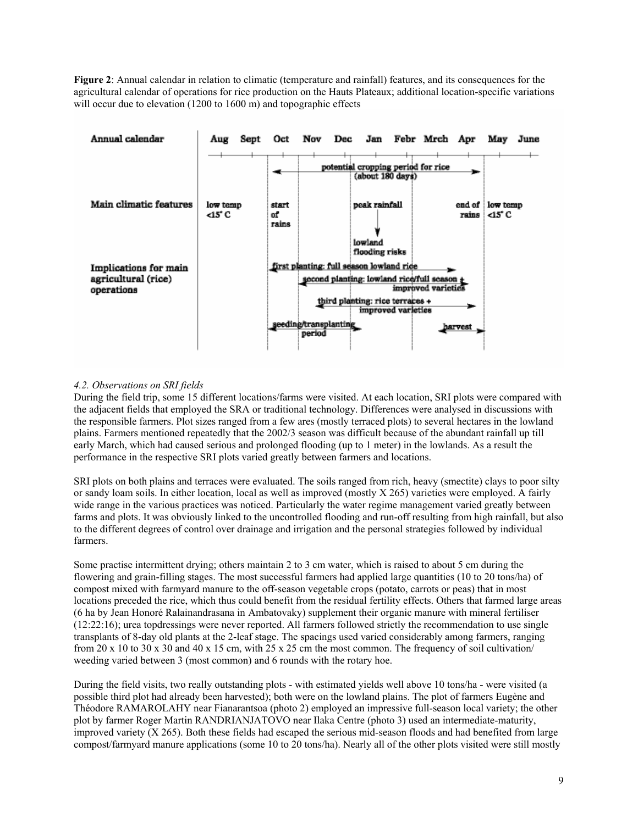**Figure 2**: Annual calendar in relation to climatic (temperature and rainfall) features, and its consequences for the agricultural calendar of operations for rice production on the Hauts Plateaux; additional location-specific variations will occur due to elevation (1200 to 1600 m) and topographic effects



## *4.2. Observations on SRI fields*

During the field trip, some 15 different locations/farms were visited. At each location, SRI plots were compared with the adjacent fields that employed the SRA or traditional technology. Differences were analysed in discussions with the responsible farmers. Plot sizes ranged from a few ares (mostly terraced plots) to several hectares in the lowland plains. Farmers mentioned repeatedly that the 2002/3 season was difficult because of the abundant rainfall up till early March, which had caused serious and prolonged flooding (up to 1 meter) in the lowlands. As a result the performance in the respective SRI plots varied greatly between farmers and locations.

SRI plots on both plains and terraces were evaluated. The soils ranged from rich, heavy (smectite) clays to poor silty or sandy loam soils. In either location, local as well as improved (mostly X 265) varieties were employed. A fairly wide range in the various practices was noticed. Particularly the water regime management varied greatly between farms and plots. It was obviously linked to the uncontrolled flooding and run-off resulting from high rainfall, but also to the different degrees of control over drainage and irrigation and the personal strategies followed by individual farmers.

Some practise intermittent drying; others maintain 2 to 3 cm water, which is raised to about 5 cm during the flowering and grain-filling stages. The most successful farmers had applied large quantities (10 to 20 tons/ha) of compost mixed with farmyard manure to the off-season vegetable crops (potato, carrots or peas) that in most locations preceded the rice, which thus could benefit from the residual fertility effects. Others that farmed large areas (6 ha by Jean Honoré Ralainandrasana in Ambatovaky) supplement their organic manure with mineral fertiliser (12:22:16); urea topdressings were never reported. All farmers followed strictly the recommendation to use single transplants of 8-day old plants at the 2-leaf stage. The spacings used varied considerably among farmers, ranging from 20 x 10 to 30 x 30 and 40 x 15 cm, with 25 x 25 cm the most common. The frequency of soil cultivation/ weeding varied between 3 (most common) and 6 rounds with the rotary hoe.

During the field visits, two really outstanding plots - with estimated yields well above 10 tons/ha - were visited (a possible third plot had already been harvested); both were on the lowland plains. The plot of farmers Eugène and Théodore RAMAROLAHY near Fianarantsoa (photo 2) employed an impressive full-season local variety; the other plot by farmer Roger Martin RANDRIANJATOVO near Ilaka Centre (photo 3) used an intermediate-maturity, improved variety (X 265). Both these fields had escaped the serious mid-season floods and had benefited from large compost/farmyard manure applications (some 10 to 20 tons/ha). Nearly all of the other plots visited were still mostly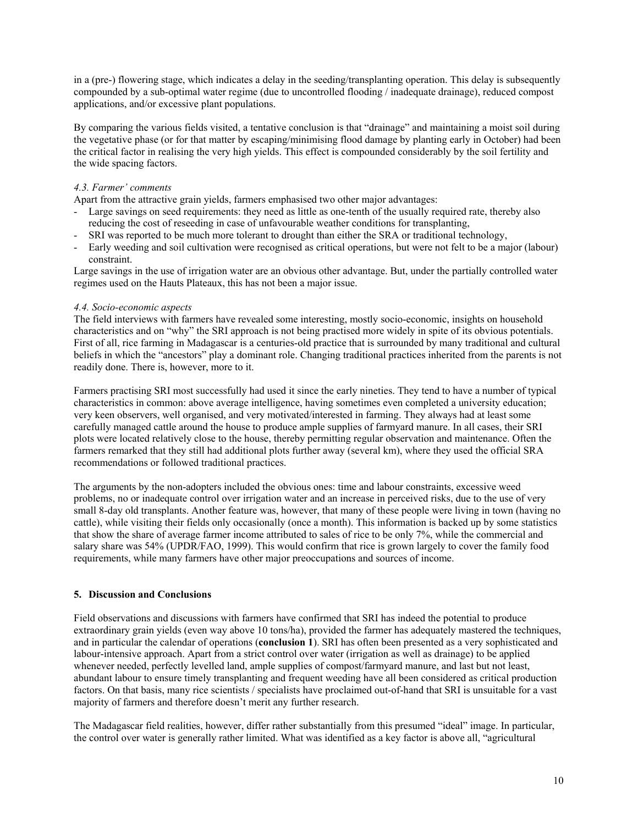in a (pre-) flowering stage, which indicates a delay in the seeding/transplanting operation. This delay is subsequently compounded by a sub-optimal water regime (due to uncontrolled flooding / inadequate drainage), reduced compost applications, and/or excessive plant populations.

By comparing the various fields visited, a tentative conclusion is that "drainage" and maintaining a moist soil during the vegetative phase (or for that matter by escaping/minimising flood damage by planting early in October) had been the critical factor in realising the very high yields. This effect is compounded considerably by the soil fertility and the wide spacing factors.

## *4.3. Farmer' comments*

Apart from the attractive grain yields, farmers emphasised two other major advantages:

- Large savings on seed requirements: they need as little as one-tenth of the usually required rate, thereby also reducing the cost of reseeding in case of unfavourable weather conditions for transplanting,
- SRI was reported to be much more tolerant to drought than either the SRA or traditional technology,
- Early weeding and soil cultivation were recognised as critical operations, but were not felt to be a major (labour) constraint.

Large savings in the use of irrigation water are an obvious other advantage. But, under the partially controlled water regimes used on the Hauts Plateaux, this has not been a major issue.

#### *4.4. Socio-economic aspects*

The field interviews with farmers have revealed some interesting, mostly socio-economic, insights on household characteristics and on "why" the SRI approach is not being practised more widely in spite of its obvious potentials. First of all, rice farming in Madagascar is a centuries-old practice that is surrounded by many traditional and cultural beliefs in which the "ancestors" play a dominant role. Changing traditional practices inherited from the parents is not readily done. There is, however, more to it.

Farmers practising SRI most successfully had used it since the early nineties. They tend to have a number of typical characteristics in common: above average intelligence, having sometimes even completed a university education; very keen observers, well organised, and very motivated/interested in farming. They always had at least some carefully managed cattle around the house to produce ample supplies of farmyard manure. In all cases, their SRI plots were located relatively close to the house, thereby permitting regular observation and maintenance. Often the farmers remarked that they still had additional plots further away (several km), where they used the official SRA recommendations or followed traditional practices.

The arguments by the non-adopters included the obvious ones: time and labour constraints, excessive weed problems, no or inadequate control over irrigation water and an increase in perceived risks, due to the use of very small 8-day old transplants. Another feature was, however, that many of these people were living in town (having no cattle), while visiting their fields only occasionally (once a month). This information is backed up by some statistics that show the share of average farmer income attributed to sales of rice to be only 7%, while the commercial and salary share was 54% (UPDR/FAO, 1999). This would confirm that rice is grown largely to cover the family food requirements, while many farmers have other major preoccupations and sources of income.

#### **5. Discussion and Conclusions**

Field observations and discussions with farmers have confirmed that SRI has indeed the potential to produce extraordinary grain yields (even way above 10 tons/ha), provided the farmer has adequately mastered the techniques, and in particular the calendar of operations (**conclusion 1**). SRI has often been presented as a very sophisticated and labour-intensive approach. Apart from a strict control over water (irrigation as well as drainage) to be applied whenever needed, perfectly levelled land, ample supplies of compost/farmyard manure, and last but not least, abundant labour to ensure timely transplanting and frequent weeding have all been considered as critical production factors. On that basis, many rice scientists / specialists have proclaimed out-of-hand that SRI is unsuitable for a vast majority of farmers and therefore doesn't merit any further research.

The Madagascar field realities, however, differ rather substantially from this presumed "ideal" image. In particular, the control over water is generally rather limited. What was identified as a key factor is above all, "agricultural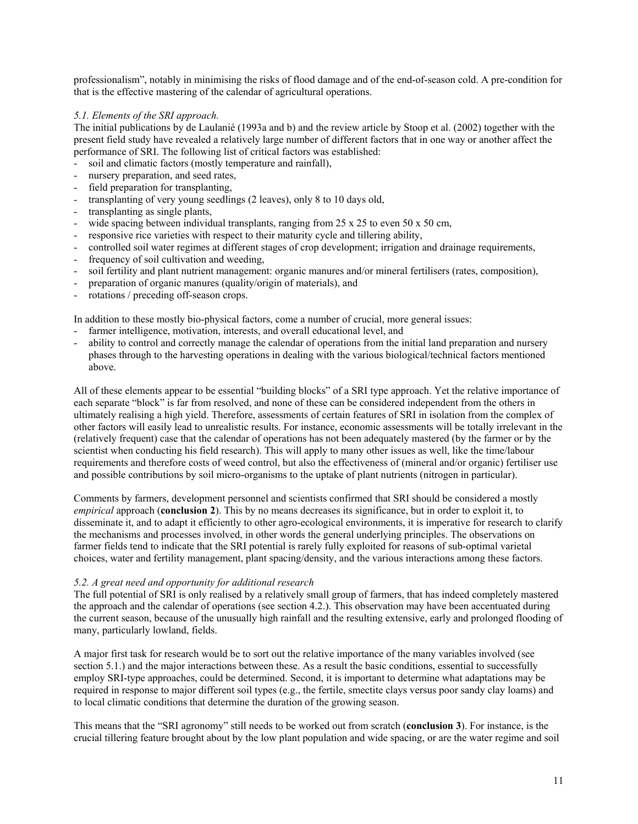professionalism", notably in minimising the risks of flood damage and of the end-of-season cold. A pre-condition for that is the effective mastering of the calendar of agricultural operations.

## *5.1. Elements of the SRI approach.*

The initial publications by de Laulanié (1993a and b) and the review article by Stoop et al. (2002) together with the present field study have revealed a relatively large number of different factors that in one way or another affect the performance of SRI. The following list of critical factors was established:

- soil and climatic factors (mostly temperature and rainfall),
- nursery preparation, and seed rates,
- field preparation for transplanting,
- transplanting of very young seedlings (2 leaves), only 8 to 10 days old,
- transplanting as single plants,
- wide spacing between individual transplants, ranging from  $25 \times 25$  to even  $50 \times 50$  cm,
- responsive rice varieties with respect to their maturity cycle and tillering ability,
- controlled soil water regimes at different stages of crop development; irrigation and drainage requirements,
- frequency of soil cultivation and weeding,
- soil fertility and plant nutrient management: organic manures and/or mineral fertilisers (rates, composition),
- preparation of organic manures (quality/origin of materials), and
- rotations / preceding off-season crops.

In addition to these mostly bio-physical factors, come a number of crucial, more general issues:

- farmer intelligence, motivation, interests, and overall educational level, and
- ability to control and correctly manage the calendar of operations from the initial land preparation and nursery phases through to the harvesting operations in dealing with the various biological/technical factors mentioned above.

All of these elements appear to be essential "building blocks" of a SRI type approach. Yet the relative importance of each separate "block" is far from resolved, and none of these can be considered independent from the others in ultimately realising a high yield. Therefore, assessments of certain features of SRI in isolation from the complex of other factors will easily lead to unrealistic results. For instance, economic assessments will be totally irrelevant in the (relatively frequent) case that the calendar of operations has not been adequately mastered (by the farmer or by the scientist when conducting his field research). This will apply to many other issues as well, like the time/labour requirements and therefore costs of weed control, but also the effectiveness of (mineral and/or organic) fertiliser use and possible contributions by soil micro-organisms to the uptake of plant nutrients (nitrogen in particular).

Comments by farmers, development personnel and scientists confirmed that SRI should be considered a mostly *empirical* approach (**conclusion 2**). This by no means decreases its significance, but in order to exploit it, to disseminate it, and to adapt it efficiently to other agro-ecological environments, it is imperative for research to clarify the mechanisms and processes involved, in other words the general underlying principles. The observations on farmer fields tend to indicate that the SRI potential is rarely fully exploited for reasons of sub-optimal varietal choices, water and fertility management, plant spacing/density, and the various interactions among these factors.

## *5.2. A great need and opportunity for additional research*

The full potential of SRI is only realised by a relatively small group of farmers, that has indeed completely mastered the approach and the calendar of operations (see section 4.2.). This observation may have been accentuated during the current season, because of the unusually high rainfall and the resulting extensive, early and prolonged flooding of many, particularly lowland, fields.

A major first task for research would be to sort out the relative importance of the many variables involved (see section 5.1.) and the major interactions between these. As a result the basic conditions, essential to successfully employ SRI-type approaches, could be determined. Second, it is important to determine what adaptations may be required in response to major different soil types (e.g., the fertile, smectite clays versus poor sandy clay loams) and to local climatic conditions that determine the duration of the growing season.

This means that the "SRI agronomy" still needs to be worked out from scratch (**conclusion 3**). For instance, is the crucial tillering feature brought about by the low plant population and wide spacing, or are the water regime and soil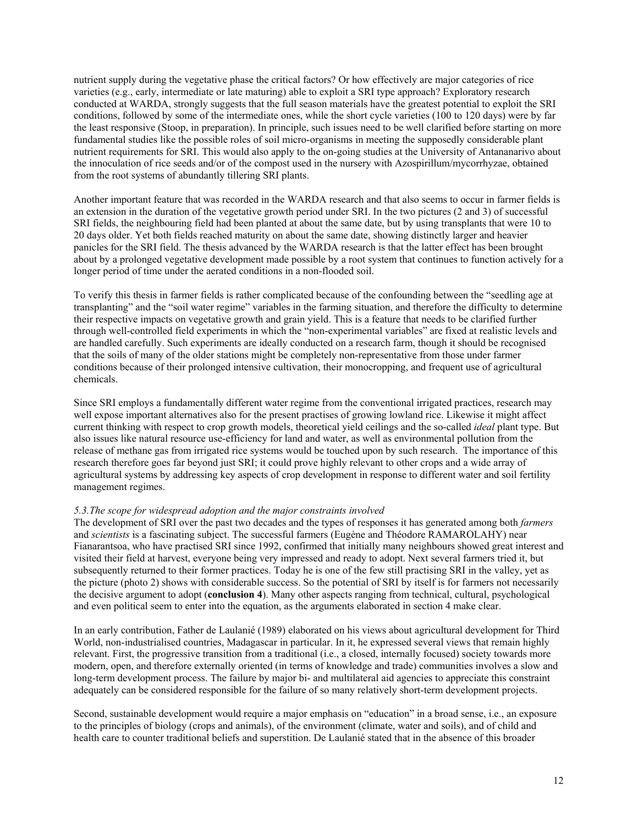nutrient supply during the vegetative phase the critical factors? Or how effectively are major categories of rice varieties (e.g., early, intermediate or late maturing) able to exploit a SRI type approach? Exploratory research conducted at WARDA, strongly suggests that the full season materials have the greatest potential to exploit the SRI conditions, followed by some of the intermediate ones, while the short cycle varieties (100 to 120 days) were by far the least responsive (Stoop, in preparation). In principle, such issues need to be well clarified before starting on more fundamental studies like the possible roles of soil micro-organisms in meeting the supposedly considerable plant nutrient requirements for SRI. This would also apply to the on-going studies at the University of Antananarivo about the innoculation of rice seeds and/or of the compost used in the nursery with Azospirillum/mycorrhyzae, obtained from the root systems of abundantly tillering SRI plants.

Another important feature that was recorded in the WARDA research and that also seems to occur in farmer fields is an extension in the duration of the vegetative growth period under SRI. In the two pictures (2 and 3) of successful SRI fields, the neighbouring field had been planted at about the same date, but by using transplants that were 10 to 20 days older. Yet both fields reached maturity on about the same date, showing distinctly larger and heavier panicles for the SRI field. The thesis advanced by the WARDA research is that the latter effect has been brought about by a prolonged vegetative development made possible by a root system that continues to function actively for a longer period of time under the aerated conditions in a non-flooded soil.

To verify this thesis in farmer fields is rather complicated because of the confounding between the "seedling age at transplanting" and the "soil water regime" variables in the farming situation, and therefore the difficulty to determine their respective impacts on vegetative growth and grain yield. This is a feature that needs to be clarified further through well-controlled field experiments in which the "non-experimental variables" are fixed at realistic levels and are handled carefully. Such experiments are ideally conducted on a research farm, though it should be recognised that the soils of many of the older stations might be completely non-representative from those under farmer conditions because of their prolonged intensive cultivation, their monocropping, and frequent use of agricultural chemicals.

Since SRI employs a fundamentally different water regime from the conventional irrigated practices, research may well expose important alternatives also for the present practises of growing lowland rice. Likewise it might affect current thinking with respect to crop growth models, theoretical yield ceilings and the so-called *ideal* plant type. But also issues like natural resource use-efficiency for land and water, as well as environmental pollution from the release of methane gas from irrigated rice systems would be touched upon by such research. The importance of this research therefore goes far beyond just SRI; it could prove highly relevant to other crops and a wide array of agricultural systems by addressing key aspects of crop development in response to different water and soil fertility management regimes.

#### *5.3.The scope for widespread adoption and the major constraints involved*

The development of SRI over the past two decades and the types of responses it has generated among both *farmers* and *scientists* is a fascinating subject. The successful farmers (Eugène and Théodore RAMAROLAHY) near Fianarantsoa, who have practised SRI since 1992, confirmed that initially many neighbours showed great interest and visited their field at harvest, everyone being very impressed and ready to adopt. Next several farmers tried it, but subsequently returned to their former practices. Today he is one of the few still practising SRI in the valley, yet as the picture (photo 2) shows with considerable success. So the potential of SRI by itself is for farmers not necessarily the decisive argument to adopt (**conclusion 4**). Many other aspects ranging from technical, cultural, psychological and even political seem to enter into the equation, as the arguments elaborated in section 4 make clear.

In an early contribution, Father de Laulanié (1989) elaborated on his views about agricultural development for Third World, non-industrialised countries, Madagascar in particular. In it, he expressed several views that remain highly relevant. First, the progressive transition from a traditional (i.e., a closed, internally focused) society towards more modern, open, and therefore externally oriented (in terms of knowledge and trade) communities involves a slow and long-term development process. The failure by major bi- and multilateral aid agencies to appreciate this constraint adequately can be considered responsible for the failure of so many relatively short-term development projects.

Second, sustainable development would require a major emphasis on "education" in a broad sense, i.e., an exposure to the principles of biology (crops and animals), of the environment (climate, water and soils), and of child and health care to counter traditional beliefs and superstition. De Laulanié stated that in the absence of this broader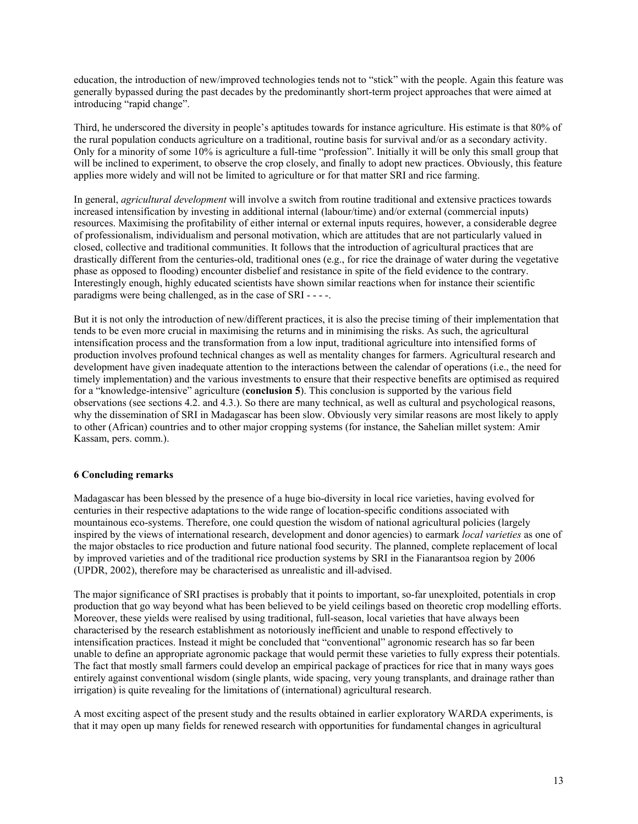education, the introduction of new/improved technologies tends not to "stick" with the people. Again this feature was generally bypassed during the past decades by the predominantly short-term project approaches that were aimed at introducing "rapid change".

Third, he underscored the diversity in people's aptitudes towards for instance agriculture. His estimate is that 80% of the rural population conducts agriculture on a traditional, routine basis for survival and/or as a secondary activity. Only for a minority of some 10% is agriculture a full-time "profession". Initially it will be only this small group that will be inclined to experiment, to observe the crop closely, and finally to adopt new practices. Obviously, this feature applies more widely and will not be limited to agriculture or for that matter SRI and rice farming.

In general, *agricultural development* will involve a switch from routine traditional and extensive practices towards increased intensification by investing in additional internal (labour/time) and/or external (commercial inputs) resources. Maximising the profitability of either internal or external inputs requires, however, a considerable degree of professionalism, individualism and personal motivation, which are attitudes that are not particularly valued in closed, collective and traditional communities. It follows that the introduction of agricultural practices that are drastically different from the centuries-old, traditional ones (e.g., for rice the drainage of water during the vegetative phase as opposed to flooding) encounter disbelief and resistance in spite of the field evidence to the contrary. Interestingly enough, highly educated scientists have shown similar reactions when for instance their scientific paradigms were being challenged, as in the case of SRI - - - -.

But it is not only the introduction of new/different practices, it is also the precise timing of their implementation that tends to be even more crucial in maximising the returns and in minimising the risks. As such, the agricultural intensification process and the transformation from a low input, traditional agriculture into intensified forms of production involves profound technical changes as well as mentality changes for farmers. Agricultural research and development have given inadequate attention to the interactions between the calendar of operations (i.e., the need for timely implementation) and the various investments to ensure that their respective benefits are optimised as required for a "knowledge-intensive" agriculture (**conclusion 5**). This conclusion is supported by the various field observations (see sections 4.2. and 4.3.). So there are many technical, as well as cultural and psychological reasons, why the dissemination of SRI in Madagascar has been slow. Obviously very similar reasons are most likely to apply to other (African) countries and to other major cropping systems (for instance, the Sahelian millet system: Amir Kassam, pers. comm.).

## **6 Concluding remarks**

Madagascar has been blessed by the presence of a huge bio-diversity in local rice varieties, having evolved for centuries in their respective adaptations to the wide range of location-specific conditions associated with mountainous eco-systems. Therefore, one could question the wisdom of national agricultural policies (largely inspired by the views of international research, development and donor agencies) to earmark *local varieties* as one of the major obstacles to rice production and future national food security. The planned, complete replacement of local by improved varieties and of the traditional rice production systems by SRI in the Fianarantsoa region by 2006 (UPDR, 2002), therefore may be characterised as unrealistic and ill-advised.

The major significance of SRI practises is probably that it points to important, so-far unexploited, potentials in crop production that go way beyond what has been believed to be yield ceilings based on theoretic crop modelling efforts. Moreover, these yields were realised by using traditional, full-season, local varieties that have always been characterised by the research establishment as notoriously inefficient and unable to respond effectively to intensification practices. Instead it might be concluded that "conventional" agronomic research has so far been unable to define an appropriate agronomic package that would permit these varieties to fully express their potentials. The fact that mostly small farmers could develop an empirical package of practices for rice that in many ways goes entirely against conventional wisdom (single plants, wide spacing, very young transplants, and drainage rather than irrigation) is quite revealing for the limitations of (international) agricultural research.

A most exciting aspect of the present study and the results obtained in earlier exploratory WARDA experiments, is that it may open up many fields for renewed research with opportunities for fundamental changes in agricultural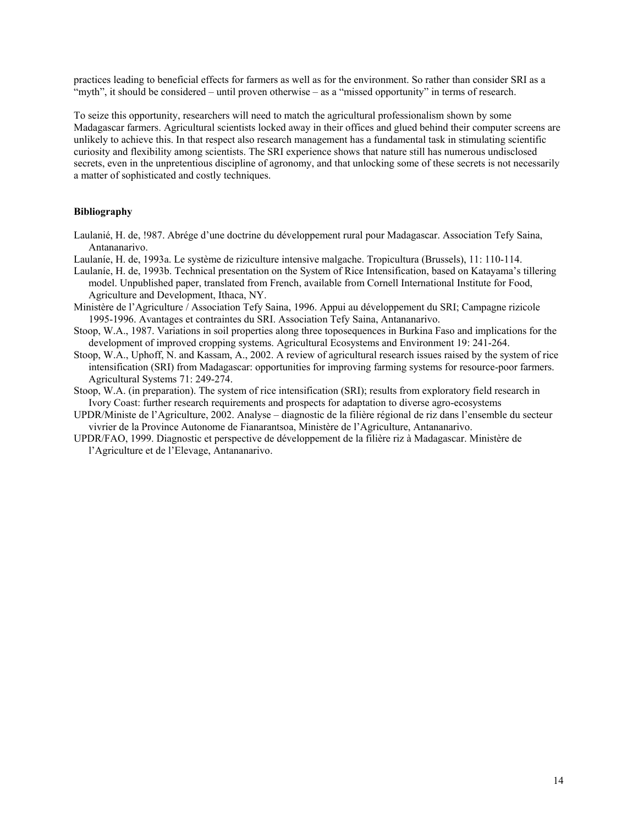practices leading to beneficial effects for farmers as well as for the environment. So rather than consider SRI as a "myth", it should be considered – until proven otherwise – as a "missed opportunity" in terms of research.

To seize this opportunity, researchers will need to match the agricultural professionalism shown by some Madagascar farmers. Agricultural scientists locked away in their offices and glued behind their computer screens are unlikely to achieve this. In that respect also research management has a fundamental task in stimulating scientific curiosity and flexibility among scientists. The SRI experience shows that nature still has numerous undisclosed secrets, even in the unpretentious discipline of agronomy, and that unlocking some of these secrets is not necessarily a matter of sophisticated and costly techniques.

## **Bibliography**

- Laulanié, H. de, !987. Abrége d'une doctrine du développement rural pour Madagascar. Association Tefy Saina, Antananarivo.
- Laulaníe, H. de, 1993a. Le système de riziculture intensive malgache. Tropicultura (Brussels), 11: 110-114.
- Laulaníe, H. de, 1993b. Technical presentation on the System of Rice Intensification, based on Katayama's tillering model. Unpublished paper, translated from French, available from Cornell International Institute for Food, Agriculture and Development, Ithaca, NY.
- Ministère de l'Agriculture / Association Tefy Saina, 1996. Appui au développement du SRI; Campagne rizicole 1995-1996. Avantages et contraintes du SRI. Association Tefy Saina, Antananarivo.
- Stoop, W.A., 1987. Variations in soil properties along three toposequences in Burkina Faso and implications for the development of improved cropping systems. Agricultural Ecosystems and Environment 19: 241-264.
- Stoop, W.A., Uphoff, N. and Kassam, A., 2002. A review of agricultural research issues raised by the system of rice intensification (SRI) from Madagascar: opportunities for improving farming systems for resource-poor farmers. Agricultural Systems 71: 249-274.
- Stoop, W.A. (in preparation). The system of rice intensification (SRI); results from exploratory field research in Ivory Coast: further research requirements and prospects for adaptation to diverse agro-ecosystems
- UPDR/Ministe de l'Agriculture, 2002. Analyse diagnostic de la filière régional de riz dans l'ensemble du secteur vivrier de la Province Autonome de Fianarantsoa, Ministère de l'Agriculture, Antananarivo.
- UPDR/FAO, 1999. Diagnostic et perspective de développement de la filière riz à Madagascar. Ministère de l'Agriculture et de l'Elevage, Antananarivo.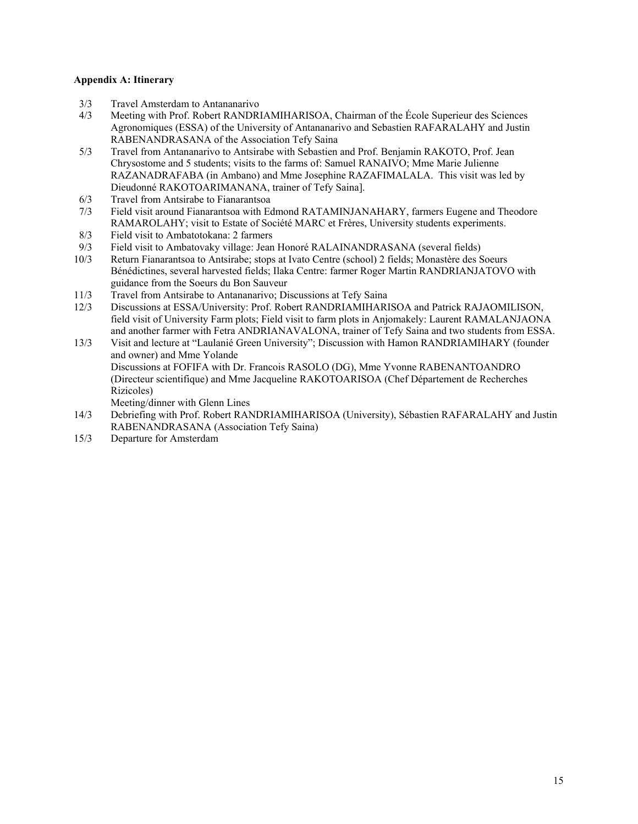## **Appendix A: Itinerary**

- 3/3 Travel Amsterdam to Antananarivo
- 4/3 Meeting with Prof. Robert RANDRIAMIHARISOA, Chairman of the École Superieur des Sciences Agronomiques (ESSA) of the University of Antananarivo and Sebastien RAFARALAHY and Justin RABENANDRASANA of the Association Tefy Saina
- 5/3 Travel from Antananarivo to Antsirabe with Sebastien and Prof. Benjamin RAKOTO, Prof. Jean Chrysostome and 5 students; visits to the farms of: Samuel RANAIVO; Mme Marie Julienne RAZANADRAFABA (in Ambano) and Mme Josephine RAZAFIMALALA. This visit was led by Dieudonné RAKOTOARIMANANA, trainer of Tefy Saina].
- 6/3 Travel from Antsirabe to Fianarantsoa
- 7/3 Field visit around Fianarantsoa with Edmond RATAMINJANAHARY, farmers Eugene and Theodore RAMAROLAHY; visit to Estate of Société MARC et Frères, University students experiments.
- 8/3 Field visit to Ambatotokana: 2 farmers
- 9/3 Field visit to Ambatovaky village: Jean Honoré RALAINANDRASANA (several fields)
- 10/3 Return Fianarantsoa to Antsirabe; stops at Ivato Centre (school) 2 fields; Monastère des Soeurs Bénédictines, several harvested fields; Ilaka Centre: farmer Roger Martin RANDRIANJATOVO with guidance from the Soeurs du Bon Sauveur
- 11/3 Travel from Antsirabe to Antananarivo; Discussions at Tefy Saina
- 12/3 Discussions at ESSA/University: Prof. Robert RANDRIAMIHARISOA and Patrick RAJAOMILISON, field visit of University Farm plots; Field visit to farm plots in Anjomakely: Laurent RAMALANJAONA and another farmer with Fetra ANDRIANAVALONA, trainer of Tefy Saina and two students from ESSA.
- 13/3 Visit and lecture at "Laulanié Green University"; Discussion with Hamon RANDRIAMIHARY (founder and owner) and Mme Yolande Discussions at FOFIFA with Dr. Francois RASOLO (DG), Mme Yvonne RABENANTOANDRO

(Directeur scientifique) and Mme Jacqueline RAKOTOARISOA (Chef Département de Recherches Rizicoles)

Meeting/dinner with Glenn Lines

- 14/3 Debriefing with Prof. Robert RANDRIAMIHARISOA (University), Sébastien RAFARALAHY and Justin RABENANDRASANA (Association Tefy Saina)
- 15/3 Departure for Amsterdam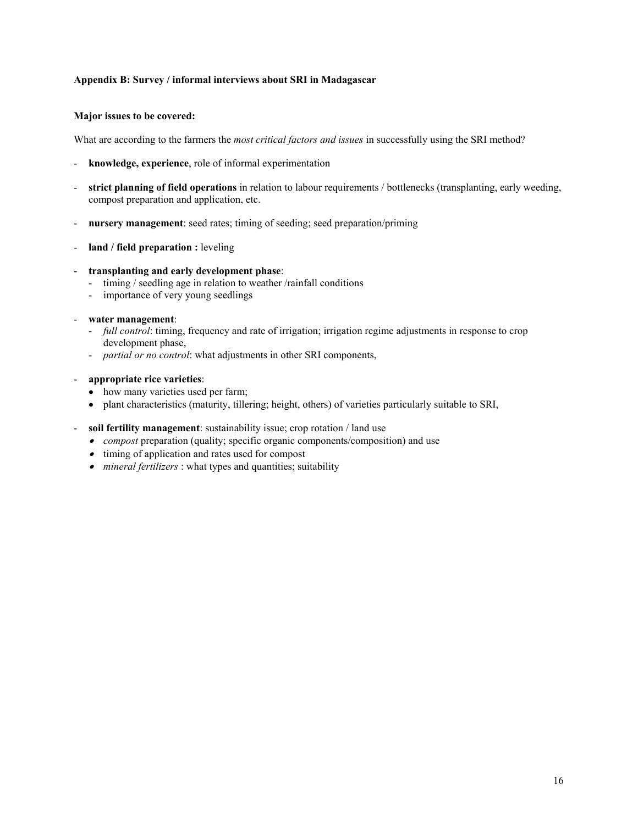## **Appendix B: Survey / informal interviews about SRI in Madagascar**

#### **Major issues to be covered:**

What are according to the farmers the *most critical factors and issues* in successfully using the SRI method?

- **knowledge, experience**, role of informal experimentation
- **strict planning of field operations** in relation to labour requirements / bottlenecks (transplanting, early weeding, compost preparation and application, etc.
- **nursery management**: seed rates; timing of seeding; seed preparation/priming
- **land / field preparation :** leveling
- **transplanting and early development phase**:
	- timing / seedling age in relation to weather /rainfall conditions
	- importance of very young seedlings
- **water management**:
	- *full control*: timing, frequency and rate of irrigation; irrigation regime adjustments in response to crop development phase,
	- *partial or no control*: what adjustments in other SRI components,
- **appropriate rice varieties**:
	- how many varieties used per farm;
	- plant characteristics (maturity, tillering; height, others) of varieties particularly suitable to SRI,
- **soil fertility management**: sustainability issue; crop rotation / land use
	- *compost* preparation (quality; specific organic components/composition) and use
	- timing of application and rates used for compost
	- *mineral fertilizers* : what types and quantities; suitability